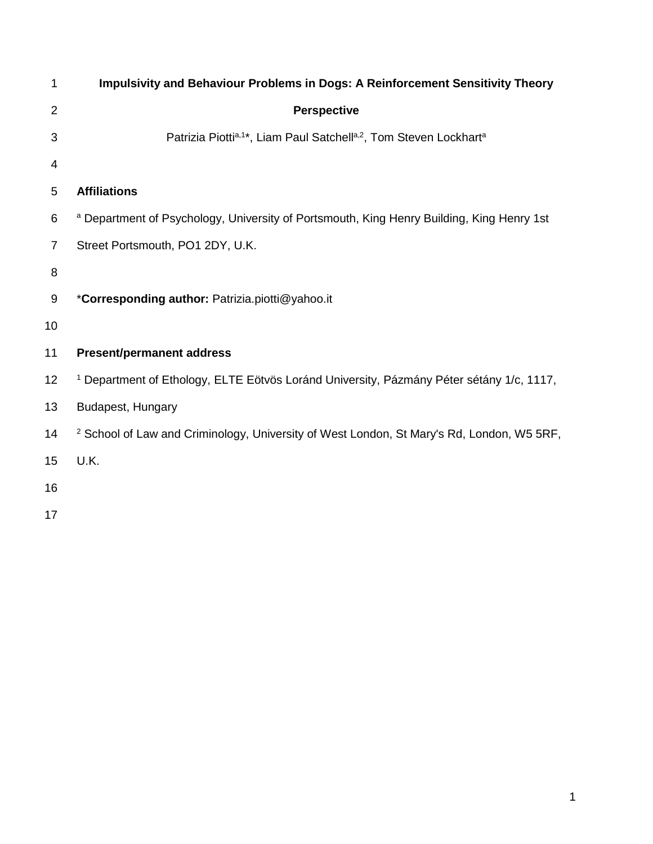| 1              | <b>Impulsivity and Behaviour Problems in Dogs: A Reinforcement Sensitivity Theory</b>                |
|----------------|------------------------------------------------------------------------------------------------------|
| 2              | <b>Perspective</b>                                                                                   |
| 3              | Patrizia Piottia,1*, Liam Paul Satchella,2, Tom Steven Lockharta                                     |
| 4              |                                                                                                      |
| 5              | <b>Affiliations</b>                                                                                  |
| 6              | a Department of Psychology, University of Portsmouth, King Henry Building, King Henry 1st            |
| $\overline{7}$ | Street Portsmouth, PO1 2DY, U.K.                                                                     |
| 8              |                                                                                                      |
| 9              | *Corresponding author: Patrizia.piotti@yahoo.it                                                      |
| 10             |                                                                                                      |
| 11             | <b>Present/permanent address</b>                                                                     |
| 12             | <sup>1</sup> Department of Ethology, ELTE Eötvös Loránd University, Pázmány Péter sétány 1/c, 1117,  |
| 13             | Budapest, Hungary                                                                                    |
| 14             | <sup>2</sup> School of Law and Criminology, University of West London, St Mary's Rd, London, W5 5RF, |
| 15             | U.K.                                                                                                 |
| 16             |                                                                                                      |
| 17             |                                                                                                      |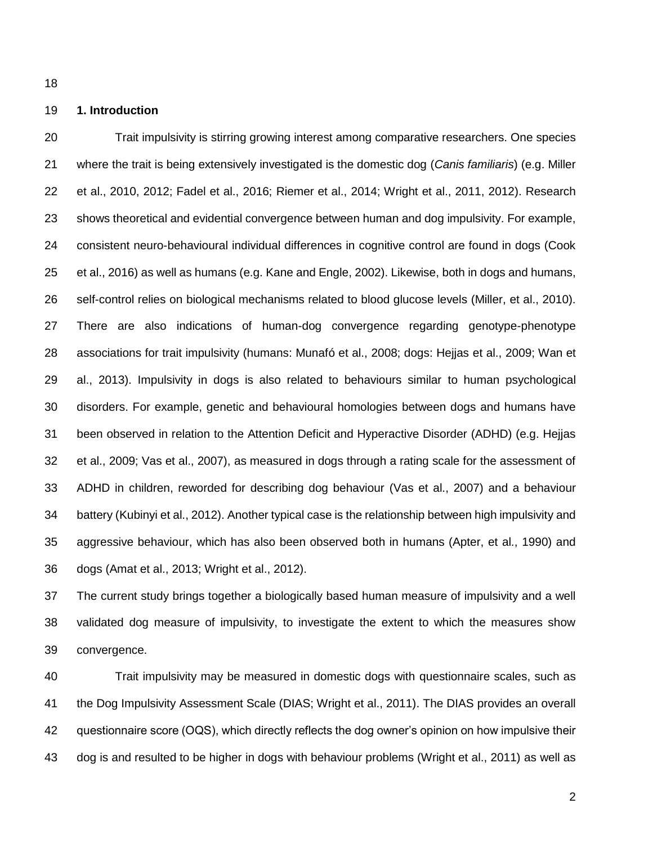#### **1. Introduction**

 Trait impulsivity is stirring growing interest among comparative researchers. One species where the trait is being extensively investigated is the domestic dog (*Canis familiaris*) (e.g. Miller et al., 2010, 2012; Fadel et al., 2016; Riemer et al., 2014; Wright et al., 2011, 2012). Research shows theoretical and evidential convergence between human and dog impulsivity. For example, consistent neuro-behavioural individual differences in cognitive control are found in dogs (Cook et al., 2016) as well as humans (e.g. Kane and Engle, 2002). Likewise, both in dogs and humans, self-control relies on biological mechanisms related to blood glucose levels (Miller, et al., 2010). There are also indications of human-dog convergence regarding genotype-phenotype associations for trait impulsivity (humans: Munafó et al., 2008; dogs: Hejjas et al., 2009; Wan et al., 2013). Impulsivity in dogs is also related to behaviours similar to human psychological disorders. For example, genetic and behavioural homologies between dogs and humans have been observed in relation to the Attention Deficit and Hyperactive Disorder (ADHD) (e.g. Hejjas et al., 2009; Vas et al., 2007), as measured in dogs through a rating scale for the assessment of ADHD in children, reworded for describing dog behaviour (Vas et al., 2007) and a behaviour battery (Kubinyi et al., 2012). Another typical case is the relationship between high impulsivity and aggressive behaviour, which has also been observed both in humans (Apter, et al., 1990) and dogs (Amat et al., 2013; Wright et al., 2012).

 The current study brings together a biologically based human measure of impulsivity and a well validated dog measure of impulsivity, to investigate the extent to which the measures show convergence.

 Trait impulsivity may be measured in domestic dogs with questionnaire scales, such as the Dog Impulsivity Assessment Scale (DIAS; Wright et al., 2011). The DIAS provides an overall 42 questionnaire score (OQS), which directly reflects the dog owner's opinion on how impulsive their dog is and resulted to be higher in dogs with behaviour problems (Wright et al., 2011) as well as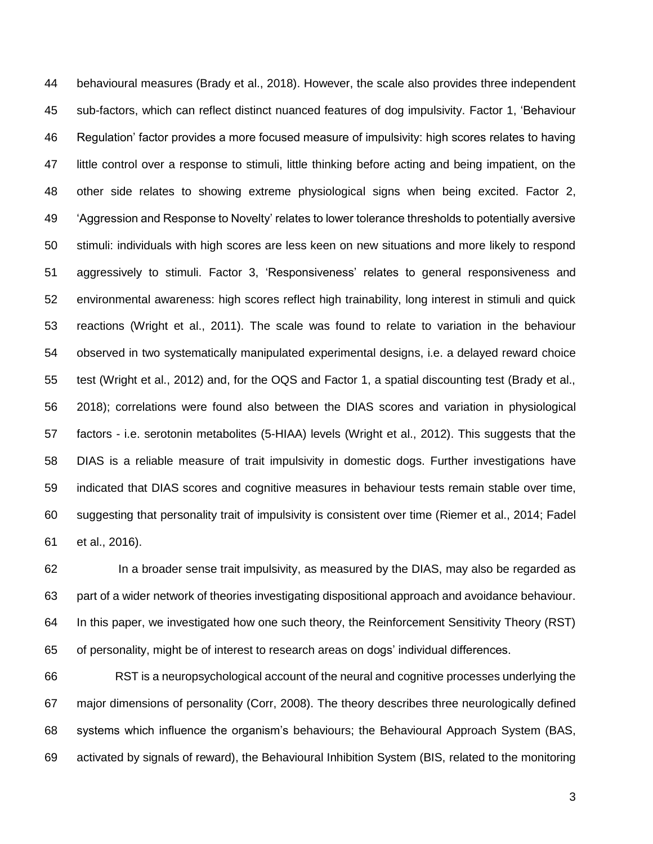behavioural measures (Brady et al., 2018). However, the scale also provides three independent sub-factors, which can reflect distinct nuanced features of dog impulsivity. Factor 1, 'Behaviour Regulation' factor provides a more focused measure of impulsivity: high scores relates to having little control over a response to stimuli, little thinking before acting and being impatient, on the other side relates to showing extreme physiological signs when being excited. Factor 2, 'Aggression and Response to Novelty' relates to lower tolerance thresholds to potentially aversive stimuli: individuals with high scores are less keen on new situations and more likely to respond aggressively to stimuli. Factor 3, 'Responsiveness' relates to general responsiveness and environmental awareness: high scores reflect high trainability, long interest in stimuli and quick reactions (Wright et al., 2011). The scale was found to relate to variation in the behaviour observed in two systematically manipulated experimental designs, i.e. a delayed reward choice test (Wright et al., 2012) and, for the OQS and Factor 1, a spatial discounting test (Brady et al., 2018); correlations were found also between the DIAS scores and variation in physiological factors - i.e. serotonin metabolites (5-HIAA) levels (Wright et al., 2012). This suggests that the DIAS is a reliable measure of trait impulsivity in domestic dogs. Further investigations have indicated that DIAS scores and cognitive measures in behaviour tests remain stable over time, suggesting that personality trait of impulsivity is consistent over time (Riemer et al., 2014; Fadel et al., 2016).

 In a broader sense trait impulsivity, as measured by the DIAS, may also be regarded as part of a wider network of theories investigating dispositional approach and avoidance behaviour. In this paper, we investigated how one such theory, the Reinforcement Sensitivity Theory (RST) of personality, might be of interest to research areas on dogs' individual differences.

 RST is a neuropsychological account of the neural and cognitive processes underlying the major dimensions of personality (Corr, 2008). The theory describes three neurologically defined systems which influence the organism's behaviours; the Behavioural Approach System (BAS, activated by signals of reward), the Behavioural Inhibition System (BIS, related to the monitoring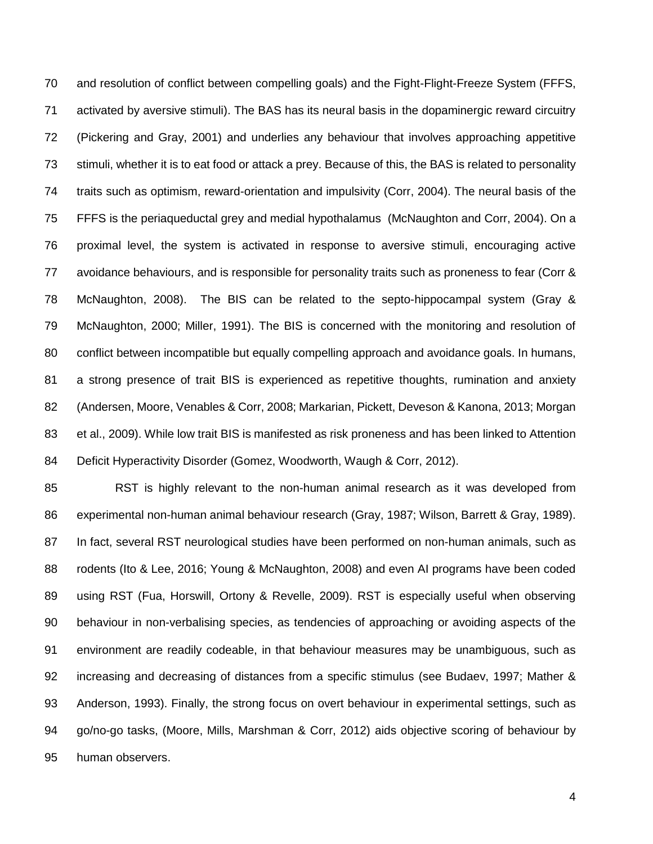and resolution of conflict between compelling goals) and the Fight-Flight-Freeze System (FFFS, activated by aversive stimuli). The BAS has its neural basis in the dopaminergic reward circuitry (Pickering and Gray, 2001) and underlies any behaviour that involves approaching appetitive stimuli, whether it is to eat food or attack a prey. Because of this, the BAS is related to personality traits such as optimism, reward-orientation and impulsivity (Corr, 2004). The neural basis of the FFFS is the periaqueductal grey and medial hypothalamus (McNaughton and Corr, 2004). On a proximal level, the system is activated in response to aversive stimuli, encouraging active avoidance behaviours, and is responsible for personality traits such as proneness to fear (Corr & McNaughton, 2008). The BIS can be related to the septo-hippocampal system (Gray & McNaughton, 2000; Miller, 1991). The BIS is concerned with the monitoring and resolution of conflict between incompatible but equally compelling approach and avoidance goals. In humans, a strong presence of trait BIS is experienced as repetitive thoughts, rumination and anxiety (Andersen, Moore, Venables & Corr, 2008; Markarian, Pickett, Deveson & Kanona, 2013; Morgan et al., 2009). While low trait BIS is manifested as risk proneness and has been linked to Attention Deficit Hyperactivity Disorder (Gomez, Woodworth, Waugh & Corr, 2012).

 RST is highly relevant to the non-human animal research as it was developed from experimental non-human animal behaviour research (Gray, 1987; Wilson, Barrett & Gray, 1989). In fact, several RST neurological studies have been performed on non-human animals, such as rodents (Ito & Lee, 2016; Young & McNaughton, 2008) and even AI programs have been coded using RST (Fua, Horswill, Ortony & Revelle, 2009). RST is especially useful when observing behaviour in non-verbalising species, as tendencies of approaching or avoiding aspects of the environment are readily codeable, in that behaviour measures may be unambiguous, such as increasing and decreasing of distances from a specific stimulus (see Budaev, 1997; Mather & Anderson, 1993). Finally, the strong focus on overt behaviour in experimental settings, such as go/no-go tasks, (Moore, Mills, Marshman & Corr, 2012) aids objective scoring of behaviour by human observers.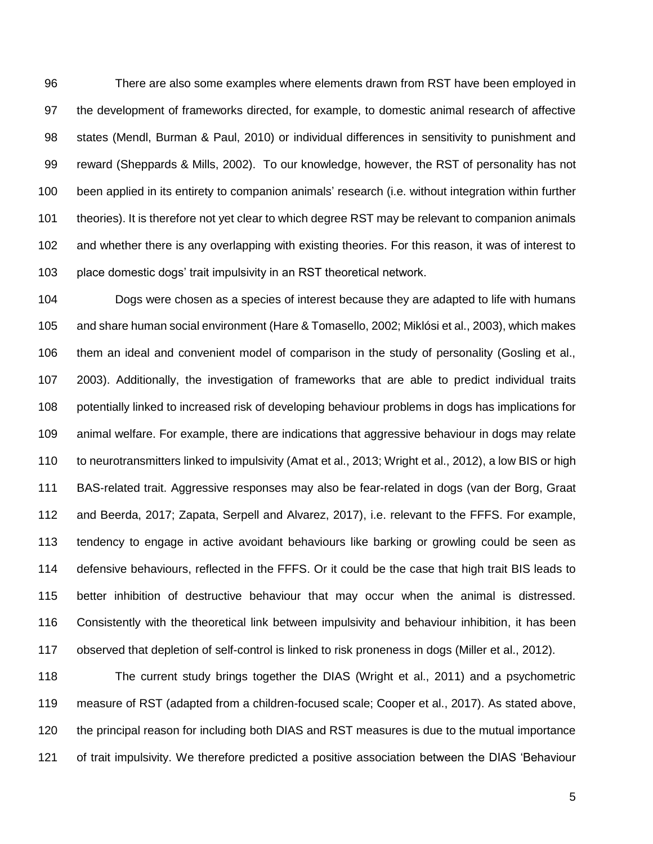There are also some examples where elements drawn from RST have been employed in the development of frameworks directed, for example, to domestic animal research of affective states (Mendl, Burman & Paul, 2010) or individual differences in sensitivity to punishment and reward (Sheppards & Mills, 2002). To our knowledge, however, the RST of personality has not been applied in its entirety to companion animals' research (i.e. without integration within further 101 theories). It is therefore not yet clear to which degree RST may be relevant to companion animals and whether there is any overlapping with existing theories. For this reason, it was of interest to place domestic dogs' trait impulsivity in an RST theoretical network.

 Dogs were chosen as a species of interest because they are adapted to life with humans and share human social environment (Hare & Tomasello, 2002; Miklósi et al., 2003), which makes them an ideal and convenient model of comparison in the study of personality (Gosling et al., 2003). Additionally, the investigation of frameworks that are able to predict individual traits potentially linked to increased risk of developing behaviour problems in dogs has implications for animal welfare. For example, there are indications that aggressive behaviour in dogs may relate to neurotransmitters linked to impulsivity (Amat et al., 2013; Wright et al., 2012), a low BIS or high BAS-related trait. Aggressive responses may also be fear-related in dogs (van der Borg, Graat and Beerda, 2017; Zapata, Serpell and Alvarez, 2017), i.e. relevant to the FFFS. For example, tendency to engage in active avoidant behaviours like barking or growling could be seen as defensive behaviours, reflected in the FFFS. Or it could be the case that high trait BIS leads to better inhibition of destructive behaviour that may occur when the animal is distressed. Consistently with the theoretical link between impulsivity and behaviour inhibition, it has been observed that depletion of self-control is linked to risk proneness in dogs (Miller et al., 2012).

 The current study brings together the DIAS (Wright et al., 2011) and a psychometric measure of RST (adapted from a children-focused scale; Cooper et al., 2017). As stated above, the principal reason for including both DIAS and RST measures is due to the mutual importance of trait impulsivity. We therefore predicted a positive association between the DIAS 'Behaviour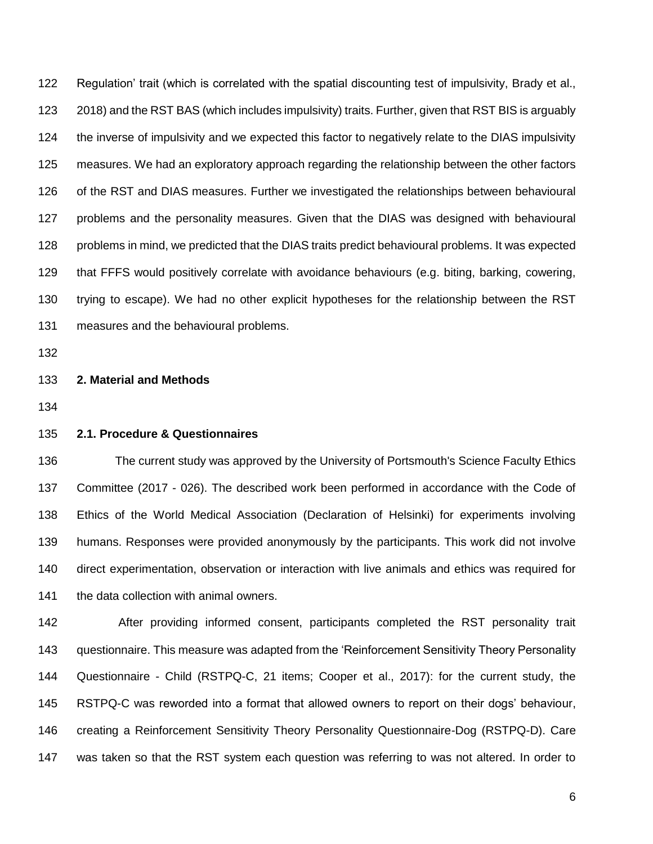Regulation' trait (which is correlated with the spatial discounting test of impulsivity, Brady et al., 2018) and the RST BAS (which includes impulsivity) traits. Further, given that RST BIS is arguably the inverse of impulsivity and we expected this factor to negatively relate to the DIAS impulsivity measures. We had an exploratory approach regarding the relationship between the other factors of the RST and DIAS measures. Further we investigated the relationships between behavioural problems and the personality measures. Given that the DIAS was designed with behavioural 128 problems in mind, we predicted that the DIAS traits predict behavioural problems. It was expected that FFFS would positively correlate with avoidance behaviours (e.g. biting, barking, cowering, trying to escape). We had no other explicit hypotheses for the relationship between the RST measures and the behavioural problems.

#### **2. Material and Methods**

## **2.1. Procedure & Questionnaires**

 The current study was approved by the University of Portsmouth's Science Faculty Ethics Committee (2017 - 026). The described work been performed in accordance with the Code of Ethics of the World Medical Association (Declaration of Helsinki) for experiments involving humans. Responses were provided anonymously by the participants. This work did not involve direct experimentation, observation or interaction with live animals and ethics was required for 141 the data collection with animal owners.

 After providing informed consent, participants completed the RST personality trait questionnaire. This measure was adapted from the 'Reinforcement Sensitivity Theory Personality Questionnaire - Child (RSTPQ-C, 21 items; Cooper et al., 2017): for the current study, the RSTPQ-C was reworded into a format that allowed owners to report on their dogs' behaviour, creating a Reinforcement Sensitivity Theory Personality Questionnaire-Dog (RSTPQ-D). Care was taken so that the RST system each question was referring to was not altered. In order to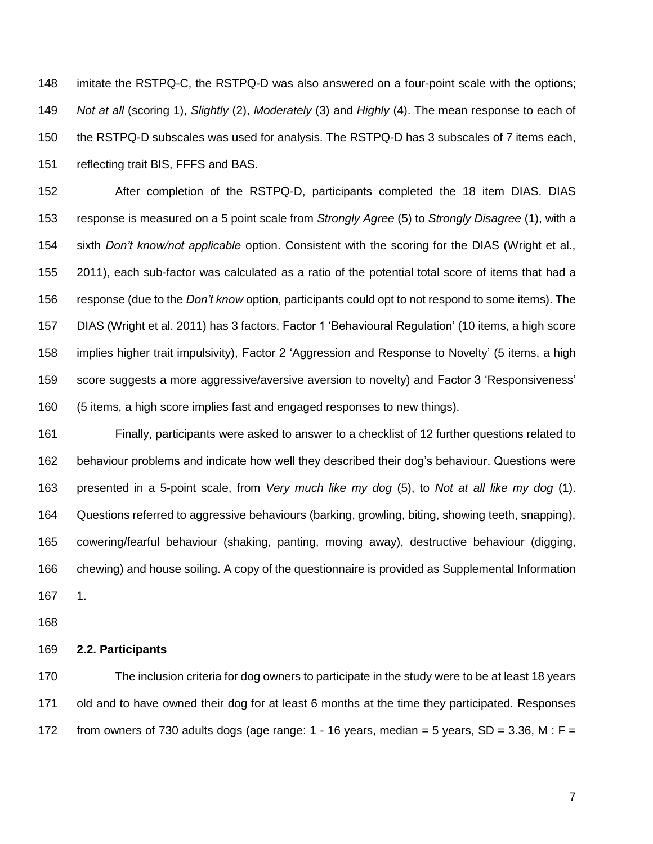imitate the RSTPQ-C, the RSTPQ-D was also answered on a four-point scale with the options; *Not at all* (scoring 1), *Slightly* (2), *Moderately* (3) and *Highly* (4). The mean response to each of the RSTPQ-D subscales was used for analysis. The RSTPQ-D has 3 subscales of 7 items each, reflecting trait BIS, FFFS and BAS.

 After completion of the RSTPQ-D, participants completed the 18 item DIAS. DIAS response is measured on a 5 point scale from *Strongly Agree* (5) to *Strongly Disagree* (1), with a sixth *Don't know/not applicable* option. Consistent with the scoring for the DIAS (Wright et al., 2011), each sub-factor was calculated as a ratio of the potential total score of items that had a response (due to the *Don't know* option, participants could opt to not respond to some items). The DIAS (Wright et al. 2011) has 3 factors, Factor 1 'Behavioural Regulation' (10 items, a high score implies higher trait impulsivity), Factor 2 'Aggression and Response to Novelty' (5 items, a high score suggests a more aggressive/aversive aversion to novelty) and Factor 3 'Responsiveness' (5 items, a high score implies fast and engaged responses to new things).

 Finally, participants were asked to answer to a checklist of 12 further questions related to behaviour problems and indicate how well they described their dog's behaviour. Questions were presented in a 5-point scale, from *Very much like my dog* (5), to *Not at all like my dog* (1). Questions referred to aggressive behaviours (barking, growling, biting, showing teeth, snapping), cowering/fearful behaviour (shaking, panting, moving away), destructive behaviour (digging, chewing) and house soiling. A copy of the questionnaire is provided as Supplemental Information 1.

#### **2.2. Participants**

 The inclusion criteria for dog owners to participate in the study were to be at least 18 years old and to have owned their dog for at least 6 months at the time they participated. Responses 172 from owners of 730 adults dogs (age range:  $1 - 16$  years, median = 5 years, SD = 3.36, M : F =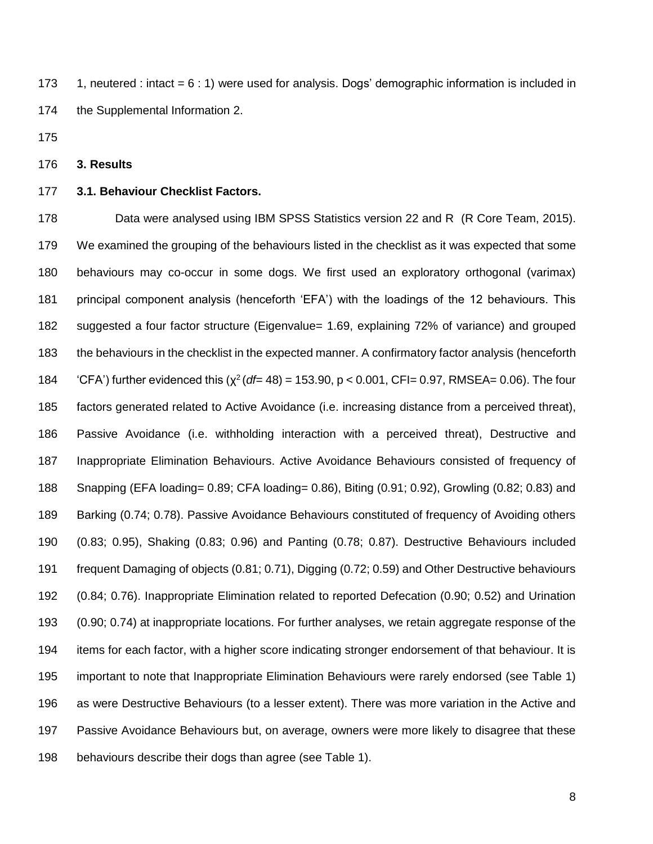173 1, neutered : intact  $= 6 : 1$ ) were used for analysis. Dogs' demographic information is included in the Supplemental Information 2.

#### **3. Results**

#### **3.1. Behaviour Checklist Factors.**

 Data were analysed using IBM SPSS Statistics version 22 and R (R Core Team, 2015). We examined the grouping of the behaviours listed in the checklist as it was expected that some behaviours may co-occur in some dogs. We first used an exploratory orthogonal (varimax) principal component analysis (henceforth 'EFA') with the loadings of the 12 behaviours. This suggested a four factor structure (Eigenvalue= 1.69, explaining 72% of variance) and grouped the behaviours in the checklist in the expected manner. A confirmatory factor analysis (henceforth 184 (CFA') further evidenced this  $(\chi^2(df= 48) = 153.90, p < 0.001, CFI = 0.97, RMSEA = 0.06)$ . The four factors generated related to Active Avoidance (i.e. increasing distance from a perceived threat), Passive Avoidance (i.e. withholding interaction with a perceived threat), Destructive and Inappropriate Elimination Behaviours. Active Avoidance Behaviours consisted of frequency of Snapping (EFA loading= 0.89; CFA loading= 0.86), Biting (0.91; 0.92), Growling (0.82; 0.83) and Barking (0.74; 0.78). Passive Avoidance Behaviours constituted of frequency of Avoiding others (0.83; 0.95), Shaking (0.83; 0.96) and Panting (0.78; 0.87). Destructive Behaviours included frequent Damaging of objects (0.81; 0.71), Digging (0.72; 0.59) and Other Destructive behaviours (0.84; 0.76). Inappropriate Elimination related to reported Defecation (0.90; 0.52) and Urination (0.90; 0.74) at inappropriate locations. For further analyses, we retain aggregate response of the items for each factor, with a higher score indicating stronger endorsement of that behaviour. It is important to note that Inappropriate Elimination Behaviours were rarely endorsed (see Table 1) as were Destructive Behaviours (to a lesser extent). There was more variation in the Active and Passive Avoidance Behaviours but, on average, owners were more likely to disagree that these behaviours describe their dogs than agree (see Table 1).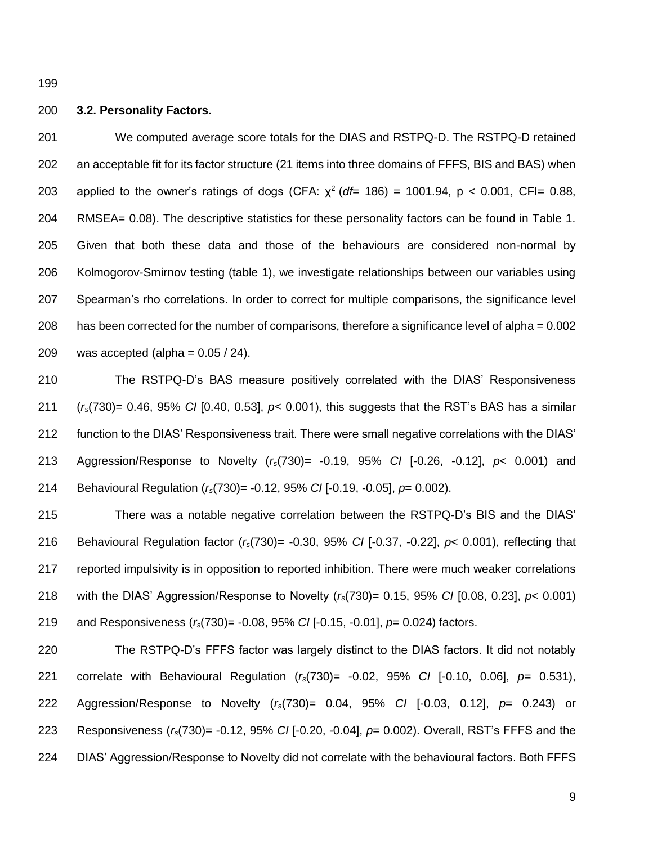#### **3.2. Personality Factors.**

 We computed average score totals for the DIAS and RSTPQ-D. The RSTPQ-D retained an acceptable fit for its factor structure (21 items into three domains of FFFS, BIS and BAS) when 203 applied to the owner's ratings of dogs (CFA:  $\chi^2$  (df= 186) = 1001.94, p < 0.001, CFI= 0.88, RMSEA= 0.08). The descriptive statistics for these personality factors can be found in Table 1. Given that both these data and those of the behaviours are considered non-normal by Kolmogorov-Smirnov testing (table 1), we investigate relationships between our variables using Spearman's rho correlations. In order to correct for multiple comparisons, the significance level has been corrected for the number of comparisons, therefore a significance level of alpha = 0.002 209 was accepted (alpha =  $0.05 / 24$ ).

 The RSTPQ-D's BAS measure positively correlated with the DIAS' Responsiveness (*rs*(730)= 0.46, 95% *CI* [0.40, 0.53], *p*< 0.001), this suggests that the RST's BAS has a similar function to the DIAS' Responsiveness trait. There were small negative correlations with the DIAS' Aggression/Response to Novelty (*rs*(730)= -0.19, 95% *CI* [-0.26, -0.12], *p*< 0.001) and Behavioural Regulation (*rs*(730)= -0.12, 95% *CI* [-0.19, -0.05], *p*= 0.002).

 There was a notable negative correlation between the RSTPQ-D's BIS and the DIAS' Behavioural Regulation factor (*rs*(730)= -0.30, 95% *CI* [-0.37, -0.22], *p*< 0.001), reflecting that reported impulsivity is in opposition to reported inhibition. There were much weaker correlations with the DIAS' Aggression/Response to Novelty (*rs*(730)= 0.15, 95% *CI* [0.08, 0.23], *p*< 0.001) and Responsiveness (*rs*(730)= -0.08, 95% *CI* [-0.15, -0.01], *p*= 0.024) factors.

 The RSTPQ-D's FFFS factor was largely distinct to the DIAS factors. It did not notably correlate with Behavioural Regulation (*rs*(730)= -0.02, 95% *CI* [-0.10, 0.06], *p*= 0.531), Aggression/Response to Novelty (*rs*(730)= 0.04, 95% *CI* [-0.03, 0.12], *p*= 0.243) or Responsiveness (*rs*(730)= -0.12, 95% *CI* [-0.20, -0.04], *p*= 0.002). Overall, RST's FFFS and the DIAS' Aggression/Response to Novelty did not correlate with the behavioural factors. Both FFFS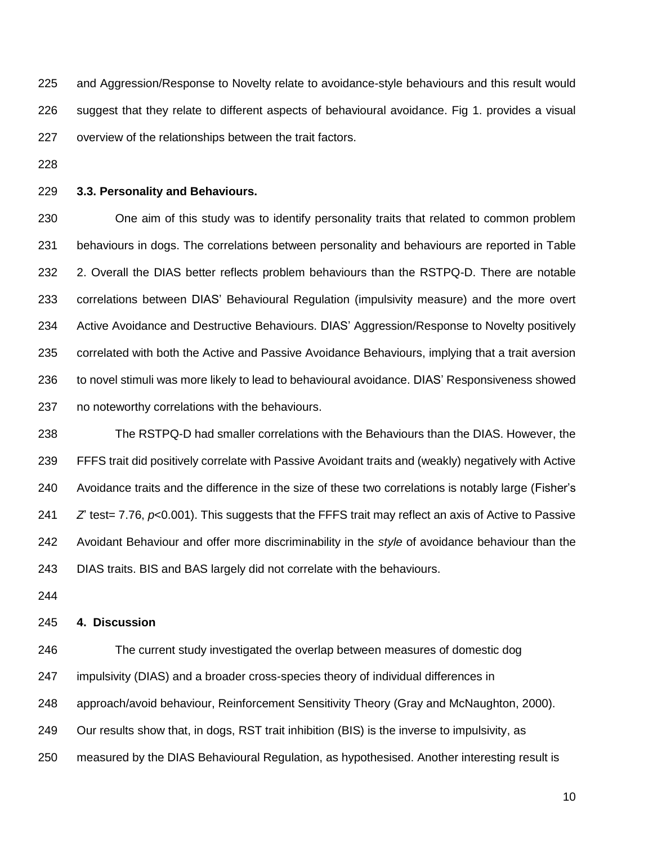and Aggression/Response to Novelty relate to avoidance-style behaviours and this result would suggest that they relate to different aspects of behavioural avoidance. Fig 1. provides a visual overview of the relationships between the trait factors.

## **3.3. Personality and Behaviours.**

 One aim of this study was to identify personality traits that related to common problem behaviours in dogs. The correlations between personality and behaviours are reported in Table 2. Overall the DIAS better reflects problem behaviours than the RSTPQ-D. There are notable correlations between DIAS' Behavioural Regulation (impulsivity measure) and the more overt Active Avoidance and Destructive Behaviours. DIAS' Aggression/Response to Novelty positively correlated with both the Active and Passive Avoidance Behaviours, implying that a trait aversion to novel stimuli was more likely to lead to behavioural avoidance. DIAS' Responsiveness showed no noteworthy correlations with the behaviours.

 The RSTPQ-D had smaller correlations with the Behaviours than the DIAS. However, the FFFS trait did positively correlate with Passive Avoidant traits and (weakly) negatively with Active Avoidance traits and the difference in the size of these two correlations is notably large (Fisher's *Z* test= 7.76, *p*<0.001). This suggests that the FFFS trait may reflect an axis of Active to Passive Avoidant Behaviour and offer more discriminability in the *style* of avoidance behaviour than the DIAS traits. BIS and BAS largely did not correlate with the behaviours.

## **4. Discussion**

 The current study investigated the overlap between measures of domestic dog impulsivity (DIAS) and a broader cross-species theory of individual differences in approach/avoid behaviour, Reinforcement Sensitivity Theory (Gray and McNaughton, 2000). Our results show that, in dogs, RST trait inhibition (BIS) is the inverse to impulsivity, as measured by the DIAS Behavioural Regulation, as hypothesised. Another interesting result is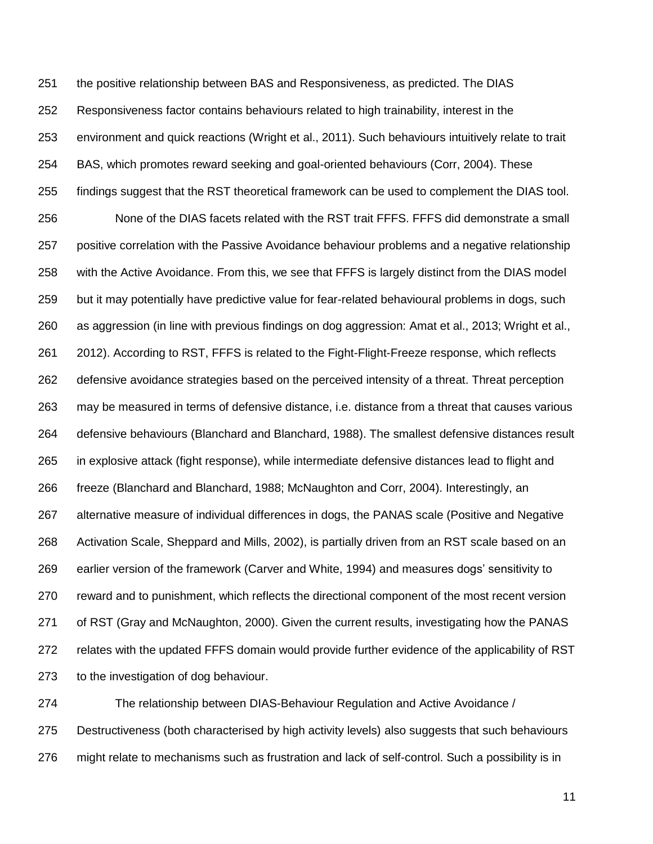the positive relationship between BAS and Responsiveness, as predicted. The DIAS Responsiveness factor contains behaviours related to high trainability, interest in the environment and quick reactions (Wright et al., 2011). Such behaviours intuitively relate to trait BAS, which promotes reward seeking and goal-oriented behaviours (Corr, 2004). These findings suggest that the RST theoretical framework can be used to complement the DIAS tool. None of the DIAS facets related with the RST trait FFFS. FFFS did demonstrate a small positive correlation with the Passive Avoidance behaviour problems and a negative relationship with the Active Avoidance. From this, we see that FFFS is largely distinct from the DIAS model but it may potentially have predictive value for fear-related behavioural problems in dogs, such as aggression (in line with previous findings on dog aggression: Amat et al., 2013; Wright et al., 2012). According to RST, FFFS is related to the Fight-Flight-Freeze response, which reflects defensive avoidance strategies based on the perceived intensity of a threat. Threat perception may be measured in terms of defensive distance, i.e. distance from a threat that causes various defensive behaviours (Blanchard and Blanchard, 1988). The smallest defensive distances result in explosive attack (fight response), while intermediate defensive distances lead to flight and freeze (Blanchard and Blanchard, 1988; McNaughton and Corr, 2004). Interestingly, an alternative measure of individual differences in dogs, the PANAS scale (Positive and Negative Activation Scale, Sheppard and Mills, 2002), is partially driven from an RST scale based on an earlier version of the framework (Carver and White, 1994) and measures dogs' sensitivity to reward and to punishment, which reflects the directional component of the most recent version of RST (Gray and McNaughton, 2000). Given the current results, investigating how the PANAS relates with the updated FFFS domain would provide further evidence of the applicability of RST to the investigation of dog behaviour.

 The relationship between DIAS-Behaviour Regulation and Active Avoidance / Destructiveness (both characterised by high activity levels) also suggests that such behaviours might relate to mechanisms such as frustration and lack of self-control. Such a possibility is in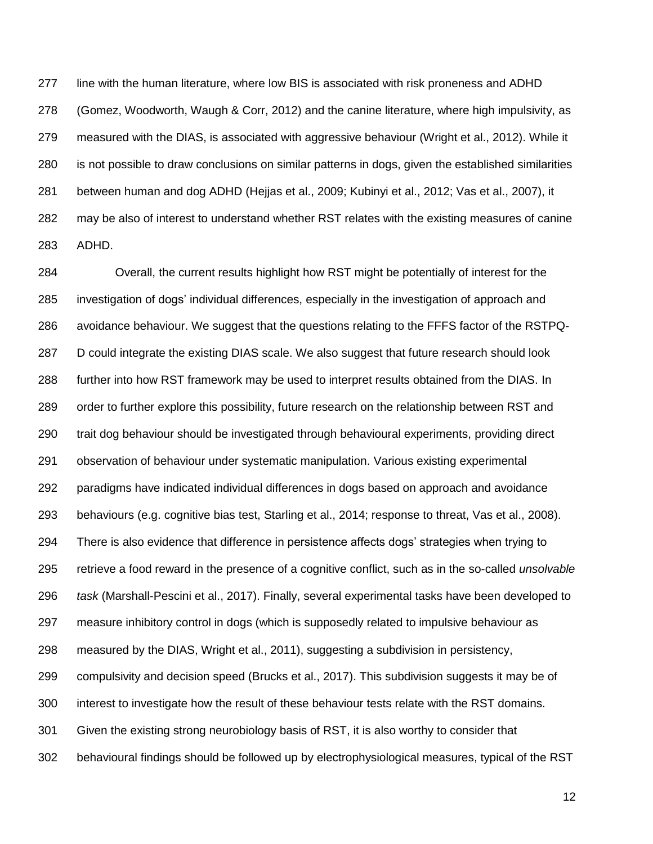line with the human literature, where low BIS is associated with risk proneness and ADHD (Gomez, Woodworth, Waugh & Corr, 2012) and the canine literature, where high impulsivity, as measured with the DIAS, is associated with aggressive behaviour (Wright et al., 2012). While it is not possible to draw conclusions on similar patterns in dogs, given the established similarities between human and dog ADHD (Hejjas et al., 2009; Kubinyi et al., 2012; Vas et al., 2007), it may be also of interest to understand whether RST relates with the existing measures of canine ADHD.

 Overall, the current results highlight how RST might be potentially of interest for the investigation of dogs' individual differences, especially in the investigation of approach and avoidance behaviour. We suggest that the questions relating to the FFFS factor of the RSTPQ- D could integrate the existing DIAS scale. We also suggest that future research should look further into how RST framework may be used to interpret results obtained from the DIAS. In order to further explore this possibility, future research on the relationship between RST and trait dog behaviour should be investigated through behavioural experiments, providing direct observation of behaviour under systematic manipulation. Various existing experimental paradigms have indicated individual differences in dogs based on approach and avoidance behaviours (e.g. cognitive bias test, Starling et al., 2014; response to threat, Vas et al., 2008). There is also evidence that difference in persistence affects dogs' strategies when trying to retrieve a food reward in the presence of a cognitive conflict, such as in the so-called *unsolvable task* (Marshall-Pescini et al., 2017). Finally, several experimental tasks have been developed to measure inhibitory control in dogs (which is supposedly related to impulsive behaviour as measured by the DIAS, Wright et al., 2011), suggesting a subdivision in persistency, compulsivity and decision speed (Brucks et al., 2017). This subdivision suggests it may be of interest to investigate how the result of these behaviour tests relate with the RST domains. Given the existing strong neurobiology basis of RST, it is also worthy to consider that behavioural findings should be followed up by electrophysiological measures, typical of the RST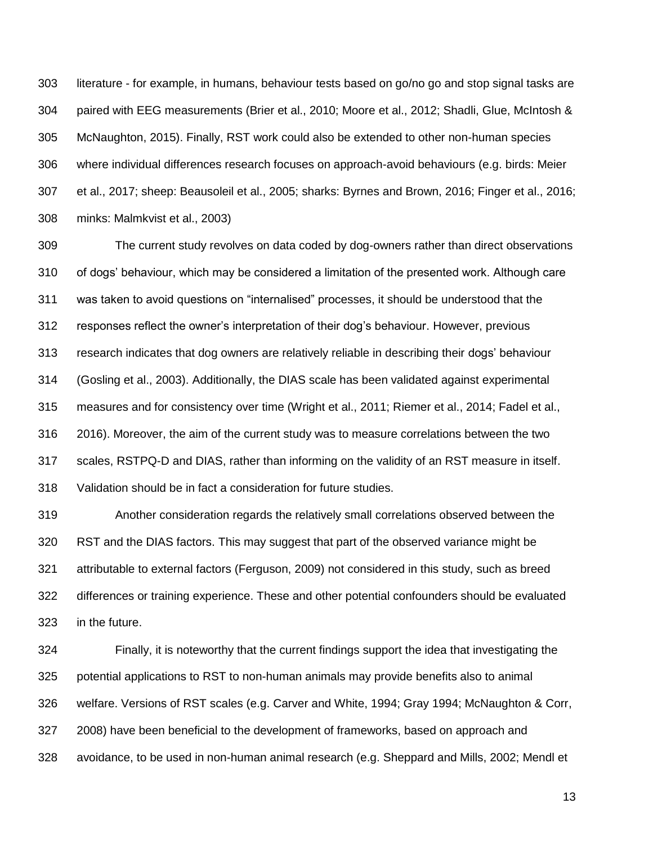literature - for example, in humans, behaviour tests based on go/no go and stop signal tasks are paired with EEG measurements (Brier et al., 2010; Moore et al., 2012; Shadli, Glue, McIntosh & McNaughton, 2015). Finally, RST work could also be extended to other non-human species where individual differences research focuses on approach-avoid behaviours (e.g. birds: Meier et al., 2017; sheep: Beausoleil et al., 2005; sharks: Byrnes and Brown, 2016; Finger et al., 2016; minks: Malmkvist et al., 2003)

 The current study revolves on data coded by dog-owners rather than direct observations of dogs' behaviour, which may be considered a limitation of the presented work. Although care was taken to avoid questions on "internalised" processes, it should be understood that the responses reflect the owner's interpretation of their dog's behaviour. However, previous research indicates that dog owners are relatively reliable in describing their dogs' behaviour (Gosling et al., 2003). Additionally, the DIAS scale has been validated against experimental measures and for consistency over time (Wright et al., 2011; Riemer et al., 2014; Fadel et al., 2016). Moreover, the aim of the current study was to measure correlations between the two scales, RSTPQ-D and DIAS, rather than informing on the validity of an RST measure in itself. Validation should be in fact a consideration for future studies.

 Another consideration regards the relatively small correlations observed between the RST and the DIAS factors. This may suggest that part of the observed variance might be attributable to external factors (Ferguson, 2009) not considered in this study, such as breed differences or training experience. These and other potential confounders should be evaluated in the future.

 Finally, it is noteworthy that the current findings support the idea that investigating the potential applications to RST to non-human animals may provide benefits also to animal welfare. Versions of RST scales (e.g. Carver and White, 1994; Gray 1994; McNaughton & Corr, 2008) have been beneficial to the development of frameworks, based on approach and avoidance, to be used in non-human animal research (e.g. Sheppard and Mills, 2002; Mendl et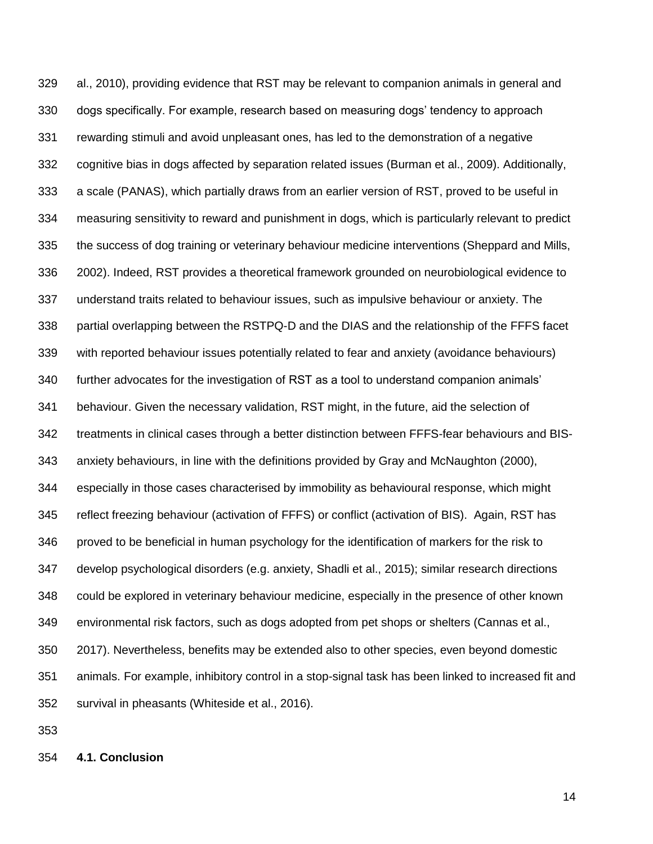al., 2010), providing evidence that RST may be relevant to companion animals in general and dogs specifically. For example, research based on measuring dogs' tendency to approach rewarding stimuli and avoid unpleasant ones, has led to the demonstration of a negative cognitive bias in dogs affected by separation related issues (Burman et al., 2009). Additionally, a scale (PANAS), which partially draws from an earlier version of RST, proved to be useful in measuring sensitivity to reward and punishment in dogs, which is particularly relevant to predict the success of dog training or veterinary behaviour medicine interventions (Sheppard and Mills, 2002). Indeed, RST provides a theoretical framework grounded on neurobiological evidence to understand traits related to behaviour issues, such as impulsive behaviour or anxiety. The partial overlapping between the RSTPQ-D and the DIAS and the relationship of the FFFS facet with reported behaviour issues potentially related to fear and anxiety (avoidance behaviours) further advocates for the investigation of RST as a tool to understand companion animals' behaviour. Given the necessary validation, RST might, in the future, aid the selection of treatments in clinical cases through a better distinction between FFFS-fear behaviours and BIS- anxiety behaviours, in line with the definitions provided by Gray and McNaughton (2000), especially in those cases characterised by immobility as behavioural response, which might reflect freezing behaviour (activation of FFFS) or conflict (activation of BIS). Again, RST has proved to be beneficial in human psychology for the identification of markers for the risk to develop psychological disorders (e.g. anxiety, Shadli et al., 2015); similar research directions could be explored in veterinary behaviour medicine, especially in the presence of other known environmental risk factors, such as dogs adopted from pet shops or shelters (Cannas et al., 2017). Nevertheless, benefits may be extended also to other species, even beyond domestic animals. For example, inhibitory control in a stop-signal task has been linked to increased fit and survival in pheasants (Whiteside et al., 2016).

**4.1. Conclusion**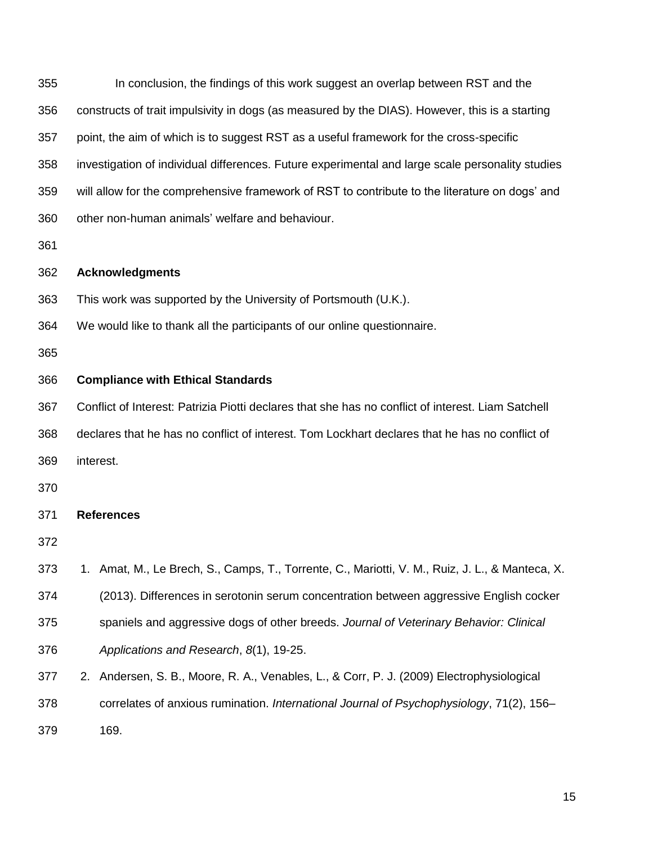In conclusion, the findings of this work suggest an overlap between RST and the constructs of trait impulsivity in dogs (as measured by the DIAS). However, this is a starting point, the aim of which is to suggest RST as a useful framework for the cross-specific investigation of individual differences. Future experimental and large scale personality studies will allow for the comprehensive framework of RST to contribute to the literature on dogs' and other non-human animals' welfare and behaviour. **Acknowledgments** This work was supported by the University of Portsmouth (U.K.). We would like to thank all the participants of our online questionnaire. **Compliance with Ethical Standards** Conflict of Interest: Patrizia Piotti declares that she has no conflict of interest. Liam Satchell declares that he has no conflict of interest. Tom Lockhart declares that he has no conflict of interest. **References** 373 1. Amat, M., Le Brech, S., Camps, T., Torrente, C., Mariotti, V. M., Ruiz, J. L., & Manteca, X. (2013). Differences in serotonin serum concentration between aggressive English cocker spaniels and aggressive dogs of other breeds. *Journal of Veterinary Behavior: Clinical Applications and Research*, *8*(1), 19-25. 2. Andersen, S. B., Moore, R. A., Venables, L., & Corr, P. J. (2009) Electrophysiological correlates of anxious rumination. *International Journal of Psychophysiology*, 71(2), 156– 169.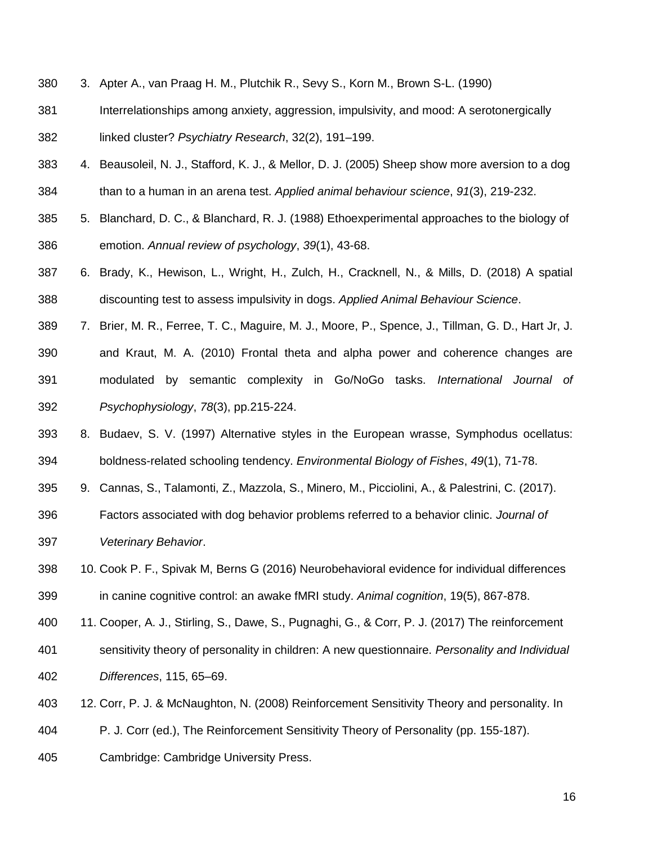- 3. Apter A., van Praag H. M., Plutchik R., Sevy S., Korn M., Brown S-L. (1990)
- Interrelationships among anxiety, aggression, impulsivity, and mood: A serotonergically linked cluster? *Psychiatry Research*, 32(2), 191–199.
- 4. Beausoleil, N. J., Stafford, K. J., & Mellor, D. J. (2005) Sheep show more aversion to a dog than to a human in an arena test. *Applied animal behaviour science*, *91*(3), 219-232.
- 5. Blanchard, D. C., & Blanchard, R. J. (1988) Ethoexperimental approaches to the biology of emotion. *Annual review of psychology*, *39*(1), 43-68.
- 6. Brady, K., Hewison, L., Wright, H., Zulch, H., Cracknell, N., & Mills, D. (2018) A spatial discounting test to assess impulsivity in dogs. *Applied Animal Behaviour Science*.
- 7. Brier, M. R., Ferree, T. C., Maguire, M. J., Moore, P., Spence, J., Tillman, G. D., Hart Jr, J. and Kraut, M. A. (2010) Frontal theta and alpha power and coherence changes are modulated by semantic complexity in Go/NoGo tasks. *International Journal of Psychophysiology*, *78*(3), pp.215-224.
- 8. Budaev, S. V. (1997) Alternative styles in the European wrasse, Symphodus ocellatus: boldness-related schooling tendency. *Environmental Biology of Fishes*, *49*(1), 71-78.
- 9. Cannas, S., Talamonti, Z., Mazzola, S., Minero, M., Picciolini, A., & Palestrini, C. (2017).
- Factors associated with dog behavior problems referred to a behavior clinic. *Journal of Veterinary Behavior*.
- 10. Cook P. F., Spivak M, Berns G (2016) Neurobehavioral evidence for individual differences in canine cognitive control: an awake fMRI study. *Animal cognition*, 19(5), 867-878.
- 11. Cooper, A. J., Stirling, S., Dawe, S., Pugnaghi, G., & Corr, P. J. (2017) The reinforcement
- sensitivity theory of personality in children: A new questionnaire. *Personality and Individual Differences*, 115, 65–69.
- 12. Corr, P. J. & McNaughton, N. (2008) Reinforcement Sensitivity Theory and personality. In
- P. J. Corr (ed.), The Reinforcement Sensitivity Theory of Personality (pp. 155-187).
- Cambridge: Cambridge University Press.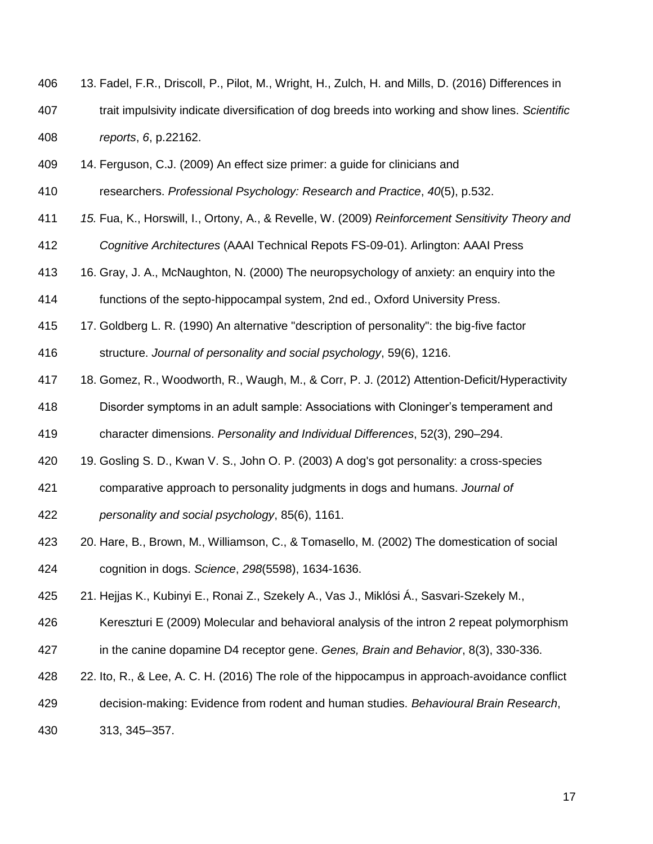- 13. Fadel, F.R., Driscoll, P., Pilot, M., Wright, H., Zulch, H. and Mills, D. (2016) Differences in trait impulsivity indicate diversification of dog breeds into working and show lines. *Scientific reports*, *6*, p.22162.
- 14. Ferguson, C.J. (2009) An effect size primer: a guide for clinicians and
- researchers. *Professional Psychology: Research and Practice*, *40*(5), p.532.
- *15.* Fua, K., Horswill, I., Ortony, A., & Revelle, W. (2009) *Reinforcement Sensitivity Theory and*
- *Cognitive Architectures* (AAAI Technical Repots FS-09-01). Arlington: AAAI Press
- 16. Gray, J. A., McNaughton, N. (2000) The neuropsychology of anxiety: an enquiry into the
- functions of the septo-hippocampal system, 2nd ed., Oxford University Press.
- 17. Goldberg L. R. (1990) An alternative "description of personality": the big-five factor
- structure. *Journal of personality and social psychology*, 59(6), 1216.
- 18. Gomez, R., Woodworth, R., Waugh, M., & Corr, P. J. (2012) Attention-Deficit/Hyperactivity
- Disorder symptoms in an adult sample: Associations with Cloninger's temperament and
- character dimensions. *Personality and Individual Differences*, 52(3), 290–294.
- 19. Gosling S. D., Kwan V. S., John O. P. (2003) A dog's got personality: a cross-species
- comparative approach to personality judgments in dogs and humans. *Journal of*
- *personality and social psychology*, 85(6), 1161.
- 20. Hare, B., Brown, M., Williamson, C., & Tomasello, M. (2002) The domestication of social cognition in dogs. *Science*, *298*(5598), 1634-1636.
- 21. Hejjas K., Kubinyi E., Ronai Z., Szekely A., Vas J., Miklósi Á., Sasvari-Szekely M.,
- Kereszturi E (2009) Molecular and behavioral analysis of the intron 2 repeat polymorphism
- in the canine dopamine D4 receptor gene. *Genes, Brain and Behavior*, 8(3), 330-336.
- 22. Ito, R., & Lee, A. C. H. (2016) The role of the hippocampus in approach-avoidance conflict
- decision-making: Evidence from rodent and human studies. *Behavioural Brain Research*,
- 313, 345–357.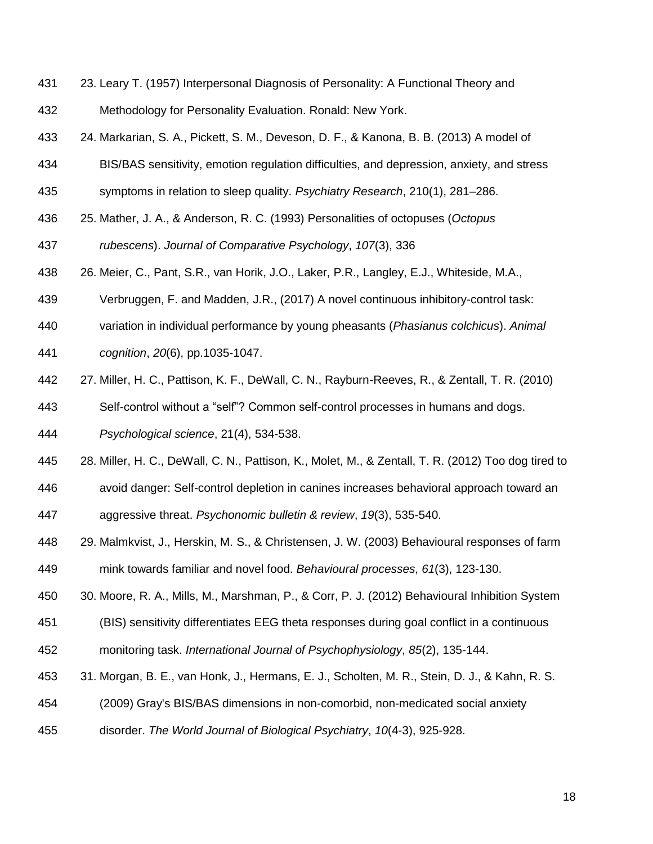- 23. Leary T. (1957) Interpersonal Diagnosis of Personality: A Functional Theory and Methodology for Personality Evaluation. Ronald: New York.
- 24. Markarian, S. A., Pickett, S. M., Deveson, D. F., & Kanona, B. B. (2013) A model of
- BIS/BAS sensitivity, emotion regulation difficulties, and depression, anxiety, and stress
- symptoms in relation to sleep quality. *Psychiatry Research*, 210(1), 281–286.
- 25. Mather, J. A., & Anderson, R. C. (1993) Personalities of octopuses (*Octopus*
- *rubescens*). *Journal of Comparative Psychology*, *107*(3), 336
- 26. Meier, C., Pant, S.R., van Horik, J.O., Laker, P.R., Langley, E.J., Whiteside, M.A.,
- Verbruggen, F. and Madden, J.R., (2017) A novel continuous inhibitory-control task:
- variation in individual performance by young pheasants (*Phasianus colchicus*). *Animal*
- *cognition*, *20*(6), pp.1035-1047.
- 27. Miller, H. C., Pattison, K. F., DeWall, C. N., Rayburn-Reeves, R., & Zentall, T. R. (2010)
- Self-control without a "self"? Common self-control processes in humans and dogs.
- *Psychological science*, 21(4), 534-538.
- 28. Miller, H. C., DeWall, C. N., Pattison, K., Molet, M., & Zentall, T. R. (2012) Too dog tired to
- avoid danger: Self-control depletion in canines increases behavioral approach toward an aggressive threat. *Psychonomic bulletin & review*, *19*(3), 535-540.
- 29. Malmkvist, J., Herskin, M. S., & Christensen, J. W. (2003) Behavioural responses of farm mink towards familiar and novel food. *Behavioural processes*, *61*(3), 123-130.
- 30. Moore, R. A., Mills, M., Marshman, P., & Corr, P. J. (2012) Behavioural Inhibition System
- (BIS) sensitivity differentiates EEG theta responses during goal conflict in a continuous
- monitoring task. *International Journal of Psychophysiology*, *85*(2), 135-144.
- 31. Morgan, B. E., van Honk, J., Hermans, E. J., Scholten, M. R., Stein, D. J., & Kahn, R. S.
- (2009) Gray's BIS/BAS dimensions in non-comorbid, non-medicated social anxiety
- disorder. *The World Journal of Biological Psychiatry*, *10*(4-3), 925-928.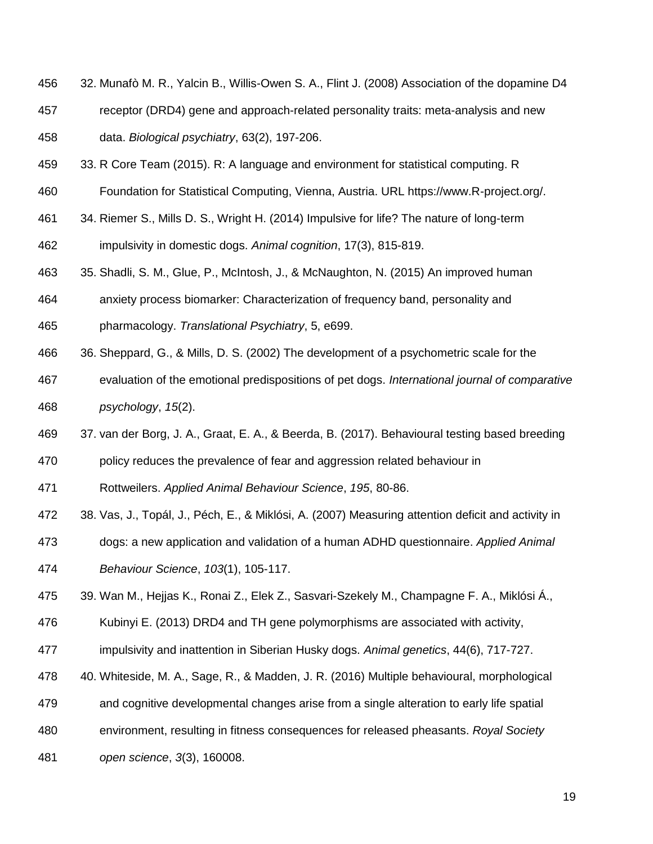- 32. Munafò M. R., Yalcin B., Willis-Owen S. A., Flint J. (2008) Association of the dopamine D4
- receptor (DRD4) gene and approach-related personality traits: meta-analysis and new data. *Biological psychiatry*, 63(2), 197-206.
- 33. R Core Team (2015). R: A language and environment for statistical computing. R
- Foundation for Statistical Computing, Vienna, Austria. URL https://www.R-project.org/.
- 34. Riemer S., Mills D. S., Wright H. (2014) Impulsive for life? The nature of long-term

impulsivity in domestic dogs. *Animal cognition*, 17(3), 815-819.

- 35. Shadli, S. M., Glue, P., McIntosh, J., & McNaughton, N. (2015) An improved human
- anxiety process biomarker: Characterization of frequency band, personality and
- pharmacology. *Translational Psychiatry*, 5, e699.
- 36. Sheppard, G., & Mills, D. S. (2002) The development of a psychometric scale for the
- evaluation of the emotional predispositions of pet dogs. *International journal of comparative psychology*, *15*(2).
- 37. van der Borg, J. A., Graat, E. A., & Beerda, B. (2017). Behavioural testing based breeding
- policy reduces the prevalence of fear and aggression related behaviour in
- Rottweilers. *Applied Animal Behaviour Science*, *195*, 80-86.
- 38. Vas, J., Topál, J., Péch, E., & Miklósi, A. (2007) Measuring attention deficit and activity in
- dogs: a new application and validation of a human ADHD questionnaire. *Applied Animal Behaviour Science*, *103*(1), 105-117.
- 39. Wan M., Hejjas K., Ronai Z., Elek Z., Sasvari-Szekely M., Champagne F. A., Miklósi Á.,
- Kubinyi E. (2013) DRD4 and TH gene polymorphisms are associated with activity,
- impulsivity and inattention in Siberian Husky dogs. *Animal genetics*, 44(6), 717-727.
- 40. Whiteside, M. A., Sage, R., & Madden, J. R. (2016) Multiple behavioural, morphological
- and cognitive developmental changes arise from a single alteration to early life spatial
- environment, resulting in fitness consequences for released pheasants. *Royal Society*
- *open science*, *3*(3), 160008.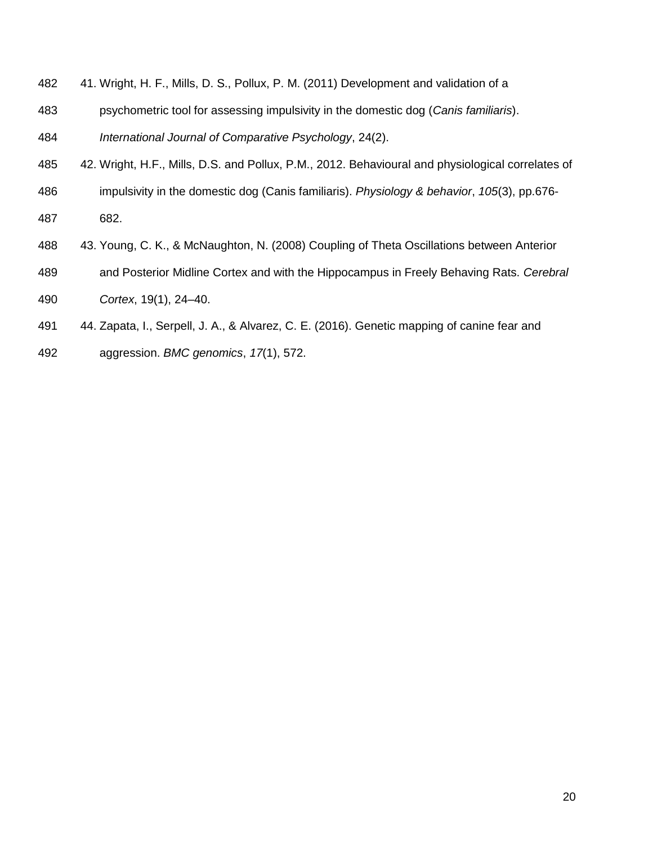- 41. Wright, H. F., Mills, D. S., Pollux, P. M. (2011) Development and validation of a
- psychometric tool for assessing impulsivity in the domestic dog (*Canis familiaris*).

*International Journal of Comparative Psychology*, 24(2).

- 42. Wright, H.F., Mills, D.S. and Pollux, P.M., 2012. Behavioural and physiological correlates of
- impulsivity in the domestic dog (Canis familiaris). *Physiology & behavior*, *105*(3), pp.676-
- 682.
- 43. Young, C. K., & McNaughton, N. (2008) Coupling of Theta Oscillations between Anterior
- and Posterior Midline Cortex and with the Hippocampus in Freely Behaving Rats. *Cerebral*
- *Cortex*, 19(1), 24–40.
- 44. Zapata, I., Serpell, J. A., & Alvarez, C. E. (2016). Genetic mapping of canine fear and
- aggression. *BMC genomics*, *17*(1), 572.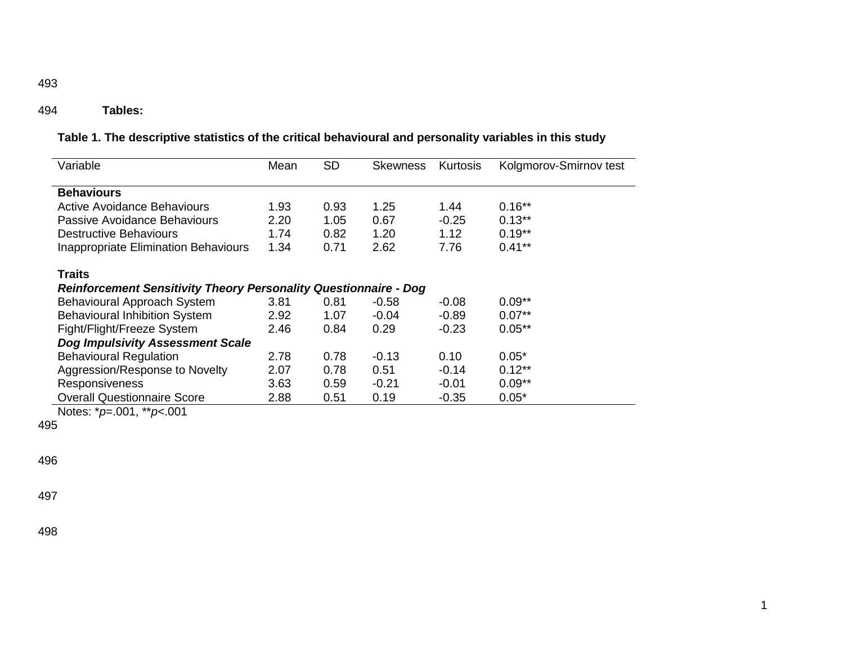## 494 **Tables:**

|  |  | Table 1. The descriptive statistics of the critical behavioural and personality variables in this study |
|--|--|---------------------------------------------------------------------------------------------------------|
|--|--|---------------------------------------------------------------------------------------------------------|

| Variable                                                                                 | Mean | <b>SD</b> | Skewness | Kurtosis | Kolgmorov-Smirnov test |  |
|------------------------------------------------------------------------------------------|------|-----------|----------|----------|------------------------|--|
| <b>Behaviours</b>                                                                        |      |           |          |          |                        |  |
| Active Avoidance Behaviours                                                              | 1.93 | 0.93      | 1.25     | 1.44     | $0.16**$               |  |
| Passive Avoidance Behaviours                                                             | 2.20 | 1.05      | 0.67     | $-0.25$  | $0.13***$              |  |
| <b>Destructive Behaviours</b>                                                            | 1.74 | 0.82      | 1.20     | 1.12     | $0.19**$               |  |
| <b>Inappropriate Elimination Behaviours</b>                                              | 1.34 | 0.71      | 2.62     | 7.76     | $0.41***$              |  |
| <b>Traits</b><br><b>Reinforcement Sensitivity Theory Personality Questionnaire - Dog</b> |      |           |          |          |                        |  |
| Behavioural Approach System                                                              | 3.81 | 0.81      | $-0.58$  | $-0.08$  | $0.09**$               |  |
| <b>Behavioural Inhibition System</b>                                                     | 2.92 | 1.07      | $-0.04$  | $-0.89$  | $0.07**$               |  |
| Fight/Flight/Freeze System                                                               | 2.46 | 0.84      | 0.29     | -0.23    | $0.05**$               |  |
| <b>Dog Impulsivity Assessment Scale</b>                                                  |      |           |          |          |                        |  |
| <b>Behavioural Regulation</b>                                                            | 2.78 | 0.78      | $-0.13$  | 0.10     | $0.05*$                |  |
| Aggression/Response to Novelty                                                           | 2.07 | 0.78      | 0.51     | $-0.14$  | $0.12***$              |  |
| Responsiveness                                                                           | 3.63 | 0.59      | $-0.21$  | $-0.01$  | $0.09**$               |  |
| <b>Overall Questionnaire Score</b>                                                       | 2.88 | 0.51      | 0.19     | -0.35    | $0.05*$                |  |

1

Notes: \**p*=.001, \*\**p*<.001

495

496

497

498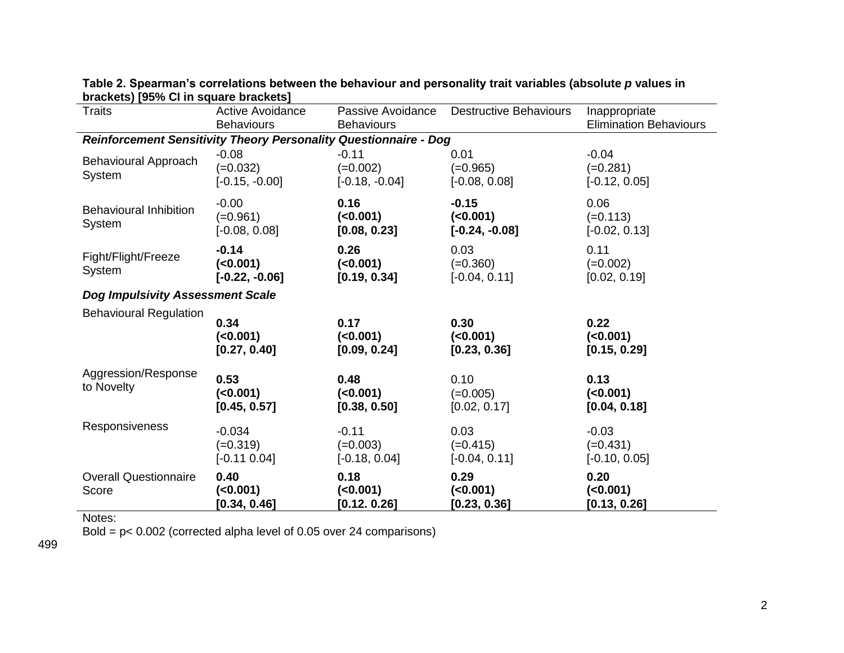| <b>DIAVILUIT LUU /0 UI III UGUAI U DIAVILUI</b><br><b>Traits</b>        | <b>Active Avoidance</b><br><b>Behaviours</b> | Passive Avoidance<br><b>Destructive Behaviours</b><br><b>Behaviours</b> |                                           | Inappropriate<br><b>Elimination Behaviours</b> |  |
|-------------------------------------------------------------------------|----------------------------------------------|-------------------------------------------------------------------------|-------------------------------------------|------------------------------------------------|--|
| <b>Reinforcement Sensitivity Theory Personality Questionnaire - Dog</b> |                                              |                                                                         |                                           |                                                |  |
| Behavioural Approach<br>System                                          | $-0.08$<br>$(=0.032)$<br>$[-0.15, -0.00]$    | $-0.11$<br>$(=0.002)$<br>$[-0.18, -0.04]$                               | 0.01<br>$(=0.965)$<br>$[-0.08, 0.08]$     | $-0.04$<br>$(=0.281)$<br>$[-0.12, 0.05]$       |  |
| <b>Behavioural Inhibition</b><br>System                                 | $-0.00$<br>$(=0.961)$<br>$[-0.08, 0.08]$     | 0.16<br>( <b>0.001</b> )<br>[0.08, 0.23]                                | $-0.15$<br>( < 0.001)<br>$[-0.24, -0.08]$ | 0.06<br>$(=0.113)$<br>$[-0.02, 0.13]$          |  |
| Fight/Flight/Freeze<br>System                                           | $-0.14$<br>(<0.001)<br>$[-0.22, -0.06]$      | 0.26<br>( <b>0.001</b> )<br>[0.19, 0.34]                                | 0.03<br>$(=0.360)$<br>$[-0.04, 0.11]$     | 0.11<br>$(=0.002)$<br>[0.02, 0.19]             |  |
| <b>Dog Impulsivity Assessment Scale</b>                                 |                                              |                                                                         |                                           |                                                |  |
| <b>Behavioural Regulation</b>                                           | 0.34<br>( < 0.001)<br>[0.27, 0.40]           | 0.17<br>( <b>0.001</b> )<br>[0.09, 0.24]                                | 0.30<br>$(0.001)$<br>[0.23, 0.36]         | 0.22<br>(<0.001)<br>[0.15, 0.29]               |  |
| Aggression/Response<br>to Novelty                                       | 0.53<br>( < 0.001)<br>[0.45, 0.57]           | 0.48<br>( <b>0.001</b> )<br>[0.38, 0.50]                                | 0.10<br>$(=0.005)$<br>[0.02, 0.17]        | 0.13<br>$(0.001)$<br>[0.04, 0.18]              |  |
| Responsiveness                                                          | $-0.034$<br>$(=0.319)$<br>$[-0.11 0.04]$     | $-0.11$<br>$(=0.003)$<br>$[-0.18, 0.04]$                                | 0.03<br>$(=0.415)$<br>$[-0.04, 0.11]$     | $-0.03$<br>$(=0.431)$<br>$[-0.10, 0.05]$       |  |
| <b>Overall Questionnaire</b><br>Score                                   | 0.40<br>(<0.001)<br>[0.34, 0.46]             | 0.18<br>$(0.001)$<br>[0.12, 0.26]                                       | 0.29<br>( <0.001)<br>[0.23, 0.36]         | 0.20<br>$(0.001)$<br>[0.13, 0.26]              |  |

**Table 2. Spearman's correlations between the behaviour and personality trait variables (absolute** *p* **values in brackets) [95% CI in square brackets]**

Notes:

Bold = p< 0.002 (corrected alpha level of 0.05 over 24 comparisons)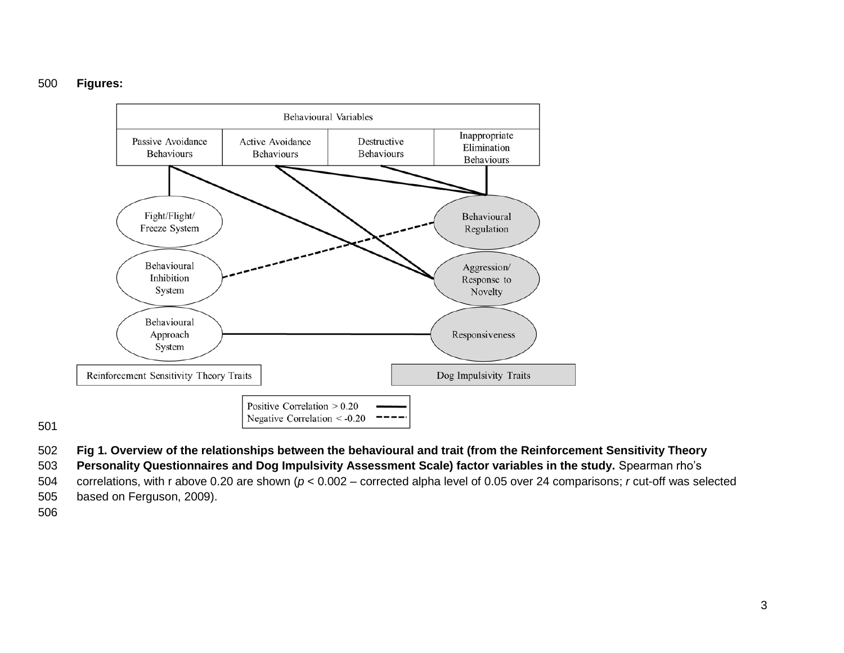## **Figures:**



- **Fig 1. Overview of the relationships between the behavioural and trait (from the Reinforcement Sensitivity Theory**
- **Personality Questionnaires and Dog Impulsivity Assessment Scale) factor variables in the study.** Spearman rho's
- correlations, with r above 0.20 are shown (*p* < 0.002 corrected alpha level of 0.05 over 24 comparisons; *r* cut-off was selected based on Ferguson, 2009).
-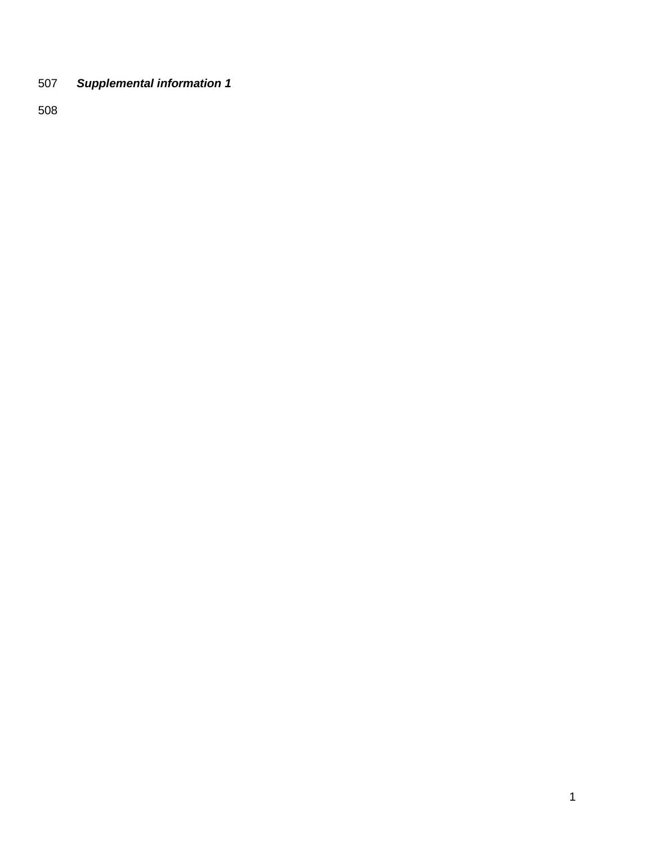*Supplemental information 1*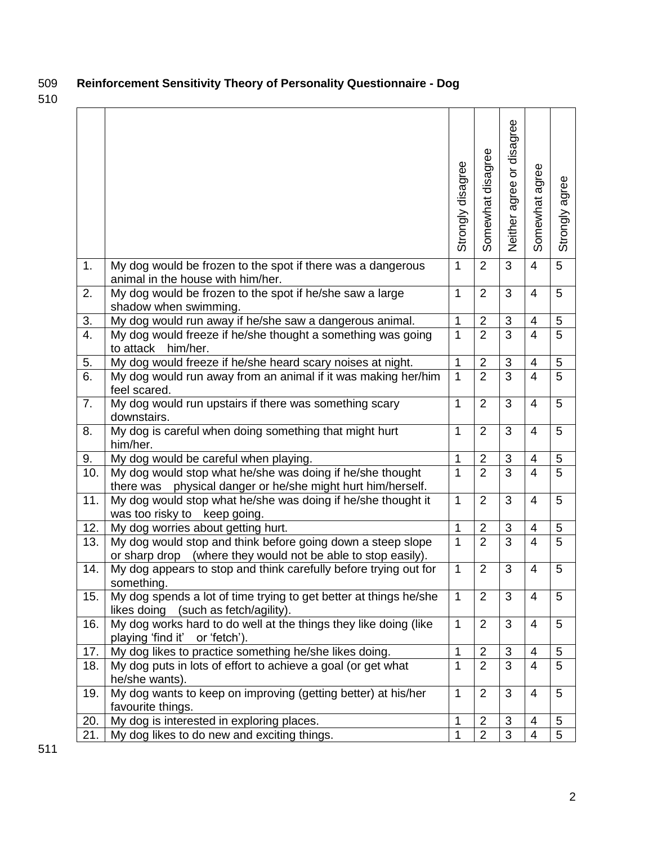# 509 **Reinforcement Sensitivity Theory of Personality Questionnaire - Dog**

|                  |                                                                                                                             | Strongly disagree | Somewhat disagree | disagree<br>$\overline{\sigma}$<br>Neither agree | agree<br>Somewhat       | agree<br>Strongly |
|------------------|-----------------------------------------------------------------------------------------------------------------------------|-------------------|-------------------|--------------------------------------------------|-------------------------|-------------------|
| 1.               | My dog would be frozen to the spot if there was a dangerous<br>animal in the house with him/her.                            | $\mathbf{1}$      | $\overline{2}$    | 3                                                | $\overline{4}$          | 5                 |
| 2.               | My dog would be frozen to the spot if he/she saw a large<br>shadow when swimming.                                           | 1                 | $\overline{2}$    | 3                                                | $\overline{4}$          | 5                 |
| 3.               | My dog would run away if he/she saw a dangerous animal.                                                                     | $\mathbf{1}$      | $\overline{2}$    | 3                                                | $\overline{\mathbf{4}}$ | 5                 |
| $\overline{4}$ . | My dog would freeze if he/she thought a something was going<br>to attack him/her.                                           | $\mathbf 1$       | $\overline{2}$    | 3                                                | $\overline{4}$          | $\overline{5}$    |
| 5.               | My dog would freeze if he/she heard scary noises at night.                                                                  | $\mathbf{1}$      | $\overline{2}$    | 3                                                | $\overline{4}$          | 5                 |
| $\overline{6}$ . | My dog would run away from an animal if it was making her/him<br>feel scared.                                               | $\mathbf{1}$      | $\overline{2}$    | 3                                                | $\overline{4}$          | 5                 |
| 7.               | My dog would run upstairs if there was something scary<br>downstairs.                                                       | $\mathbf{1}$      | $\overline{2}$    | 3                                                | $\overline{4}$          | 5                 |
| 8.               | My dog is careful when doing something that might hurt<br>him/her.                                                          | 1                 | $\overline{2}$    | 3                                                | 4                       | 5                 |
| 9.               | My dog would be careful when playing.                                                                                       | $\mathbf{1}$      | $\overline{2}$    | 3                                                | $\overline{4}$          | 5                 |
| 10.              | My dog would stop what he/she was doing if he/she thought<br>physical danger or he/she might hurt him/herself.<br>there was | 1                 | $\overline{2}$    | $\overline{3}$                                   | $\overline{4}$          | $\overline{5}$    |
| 11.              | My dog would stop what he/she was doing if he/she thought it<br>was too risky to keep going.                                | $\mathbf{1}$      | $\overline{2}$    | 3                                                | $\overline{4}$          | 5                 |
| 12.              | My dog worries about getting hurt.                                                                                          | $\mathbf{1}$      | $\overline{2}$    | 3                                                | $\overline{4}$          | 5                 |
| 13.              | My dog would stop and think before going down a steep slope<br>or sharp drop (where they would not be able to stop easily). | $\mathbf{1}$      | $\overline{2}$    | 3                                                | $\overline{4}$          | 5                 |
| 14.              | My dog appears to stop and think carefully before trying out for<br>something.                                              | $\mathbf{1}$      | $\overline{2}$    | 3                                                | $\overline{4}$          | 5                 |
| 15.              | My dog spends a lot of time trying to get better at things he/she<br>(such as fetch/agility).<br>likes doing                | $\mathbf 1$       | $\overline{2}$    | 3                                                | 4                       | 5                 |
| 16.              | My dog works hard to do well at the things they like doing (like<br>playing 'find it' or 'fetch').                          | $\mathbf{1}$      | $\overline{2}$    | 3                                                | 4                       | 5                 |
| 17.              | My dog likes to practice something he/she likes doing.                                                                      | $\mathbf{1}$      | $\overline{2}$    | $\sqrt{3}$                                       | $\overline{4}$          | 5                 |
| 18.              | My dog puts in lots of effort to achieve a goal (or get what<br>he/she wants).                                              | $\mathbf{1}$      | $\overline{2}$    | $\overline{3}$                                   | $\overline{4}$          | 5                 |
| 19.              | My dog wants to keep on improving (getting better) at his/her<br>favourite things.                                          | $\mathbf{1}$      | $\overline{2}$    | 3                                                | 4                       | 5                 |
| 20.              | My dog is interested in exploring places.                                                                                   | 1                 | $\overline{2}$    | 3                                                | 4                       | 5                 |
| 21.              | My dog likes to do new and exciting things.                                                                                 | 1                 | $\overline{2}$    | $\mathbf{3}$                                     | $\overline{4}$          | 5                 |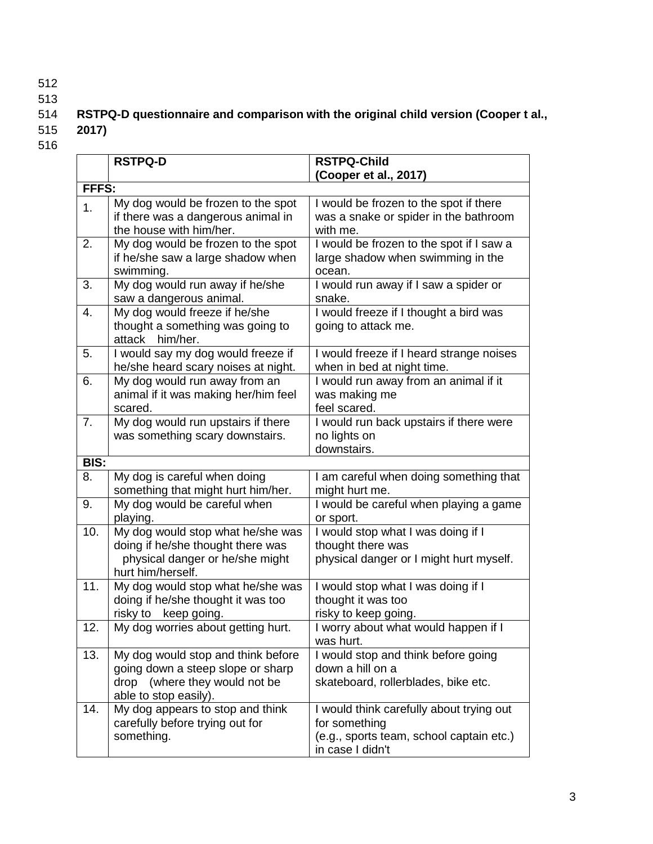- 512
- 

# 513<br>514 RSTPQ-D questionnaire and comparison with the original child version (Cooper t al.,

- 515 **2017)**
- 516

|             | <b>RSTPQ-D</b>                                                     | <b>RSTPQ-Child</b>                                       |  |  |  |  |  |
|-------------|--------------------------------------------------------------------|----------------------------------------------------------|--|--|--|--|--|
|             |                                                                    | (Cooper et al., 2017)                                    |  |  |  |  |  |
|             | FFFS:                                                              |                                                          |  |  |  |  |  |
| 1.          | My dog would be frozen to the spot                                 | I would be frozen to the spot if there                   |  |  |  |  |  |
|             | if there was a dangerous animal in                                 | was a snake or spider in the bathroom                    |  |  |  |  |  |
|             | the house with him/her.                                            | with me.                                                 |  |  |  |  |  |
| 2.          | My dog would be frozen to the spot                                 | I would be frozen to the spot if I saw a                 |  |  |  |  |  |
|             | if he/she saw a large shadow when                                  | large shadow when swimming in the                        |  |  |  |  |  |
|             | swimming.                                                          | ocean.                                                   |  |  |  |  |  |
| 3.          | My dog would run away if he/she                                    | I would run away if I saw a spider or                    |  |  |  |  |  |
|             | saw a dangerous animal.                                            | snake.                                                   |  |  |  |  |  |
| 4.          | My dog would freeze if he/she                                      | I would freeze if I thought a bird was                   |  |  |  |  |  |
|             | thought a something was going to                                   | going to attack me.                                      |  |  |  |  |  |
|             | attack him/her.                                                    |                                                          |  |  |  |  |  |
| 5.          | I would say my dog would freeze if                                 | I would freeze if I heard strange noises                 |  |  |  |  |  |
|             | he/she heard scary noises at night.                                | when in bed at night time.                               |  |  |  |  |  |
| 6.          | My dog would run away from an                                      | I would run away from an animal if it                    |  |  |  |  |  |
|             | animal if it was making her/him feel                               | was making me                                            |  |  |  |  |  |
|             | scared.                                                            | feel scared.                                             |  |  |  |  |  |
| 7.          | My dog would run upstairs if there                                 | I would run back upstairs if there were                  |  |  |  |  |  |
|             | was something scary downstairs.                                    | no lights on                                             |  |  |  |  |  |
|             |                                                                    | downstairs.                                              |  |  |  |  |  |
| <b>BIS:</b> |                                                                    |                                                          |  |  |  |  |  |
| 8.          | My dog is careful when doing                                       | I am careful when doing something that                   |  |  |  |  |  |
| 9.          | something that might hurt him/her.<br>My dog would be careful when | might hurt me.<br>I would be careful when playing a game |  |  |  |  |  |
|             | playing.                                                           | or sport.                                                |  |  |  |  |  |
| 10.         | My dog would stop what he/she was                                  | I would stop what I was doing if I                       |  |  |  |  |  |
|             | doing if he/she thought there was                                  | thought there was                                        |  |  |  |  |  |
|             | physical danger or he/she might                                    | physical danger or I might hurt myself.                  |  |  |  |  |  |
|             | hurt him/herself.                                                  |                                                          |  |  |  |  |  |
| 11.         | My dog would stop what he/she was                                  | I would stop what I was doing if I                       |  |  |  |  |  |
|             | doing if he/she thought it was too                                 | thought it was too                                       |  |  |  |  |  |
|             | risky to<br>keep going.                                            | risky to keep going.                                     |  |  |  |  |  |
| 12.         | My dog worries about getting hurt.                                 | I worry about what would happen if I                     |  |  |  |  |  |
|             |                                                                    | was hurt.                                                |  |  |  |  |  |
| 13.         | My dog would stop and think before                                 | I would stop and think before going                      |  |  |  |  |  |
|             | going down a steep slope or sharp                                  | down a hill on a                                         |  |  |  |  |  |
|             | drop (where they would not be                                      | skateboard, rollerblades, bike etc.                      |  |  |  |  |  |
|             | able to stop easily).                                              |                                                          |  |  |  |  |  |
| 14.         | My dog appears to stop and think                                   | I would think carefully about trying out                 |  |  |  |  |  |
|             | carefully before trying out for                                    | for something                                            |  |  |  |  |  |
|             | something.                                                         | (e.g., sports team, school captain etc.)                 |  |  |  |  |  |
|             |                                                                    | in case I didn't                                         |  |  |  |  |  |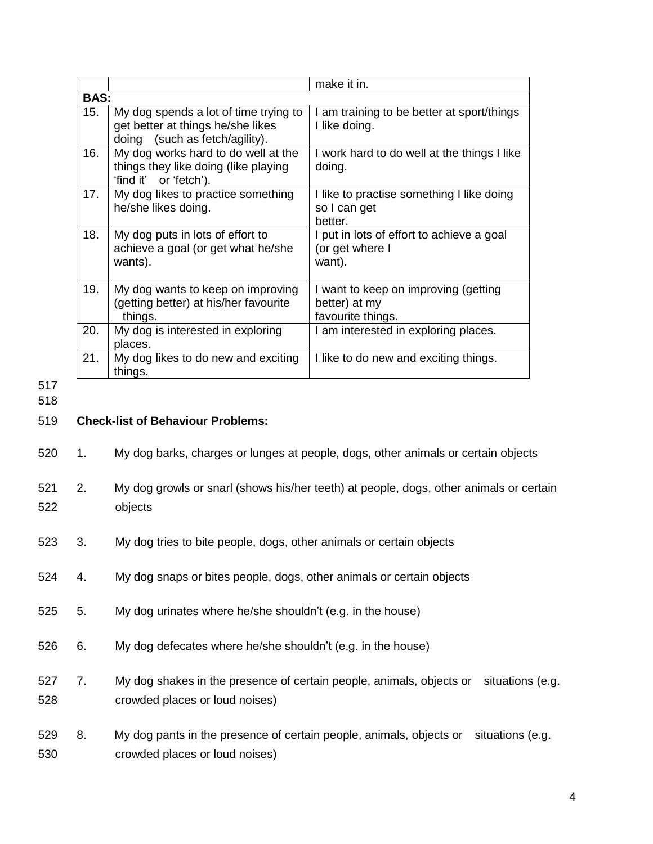|                   |             |                                                                                                                            | make it in.                                                                       |  |  |  |
|-------------------|-------------|----------------------------------------------------------------------------------------------------------------------------|-----------------------------------------------------------------------------------|--|--|--|
|                   | <b>BAS:</b> |                                                                                                                            |                                                                                   |  |  |  |
|                   | 15.         | My dog spends a lot of time trying to<br>get better at things he/she likes<br>(such as fetch/agility).<br>doing            | I am training to be better at sport/things<br>I like doing.                       |  |  |  |
|                   | 16.         | My dog works hard to do well at the<br>things they like doing (like playing<br>or 'fetch').<br>ʻfind it'                   | I work hard to do well at the things I like<br>doing.                             |  |  |  |
|                   | 17.         | My dog likes to practice something<br>he/she likes doing.                                                                  | I like to practise something I like doing<br>so I can get<br>better.              |  |  |  |
|                   | 18.         | My dog puts in lots of effort to<br>achieve a goal (or get what he/she<br>wants).                                          | I put in lots of effort to achieve a goal<br>(or get where I<br>want).            |  |  |  |
|                   | 19.         | My dog wants to keep on improving<br>(getting better) at his/her favourite<br>things.                                      | I want to keep on improving (getting<br>better) at my<br>favourite things.        |  |  |  |
|                   | 20.         | My dog is interested in exploring<br>places.                                                                               | I am interested in exploring places.                                              |  |  |  |
|                   | 21.         | My dog likes to do new and exciting<br>things.                                                                             | I like to do new and exciting things.                                             |  |  |  |
| 517<br>518<br>519 |             | <b>Check-list of Behaviour Problems:</b>                                                                                   |                                                                                   |  |  |  |
| 520               | 1.          |                                                                                                                            | My dog barks, charges or lunges at people, dogs, other animals or certain objects |  |  |  |
| 521<br>522        | 2.          | My dog growls or snarl (shows his/her teeth) at people, dogs, other animals or certain<br>objects                          |                                                                                   |  |  |  |
| 523               | 3.          | My dog tries to bite people, dogs, other animals or certain objects                                                        |                                                                                   |  |  |  |
| 524               | 4.          | My dog snaps or bites people, dogs, other animals or certain objects                                                       |                                                                                   |  |  |  |
| 525               | 5.          | My dog urinates where he/she shouldn't (e.g. in the house)                                                                 |                                                                                   |  |  |  |
| 526               | 6.          | My dog defecates where he/she shouldn't (e.g. in the house)                                                                |                                                                                   |  |  |  |
| 527<br>528        | 7.          | My dog shakes in the presence of certain people, animals, objects or<br>situations (e.g.<br>crowded places or loud noises) |                                                                                   |  |  |  |
| 529<br>530        | 8.          | My dog pants in the presence of certain people, animals, objects or<br>crowded places or loud noises)                      | situations (e.g.                                                                  |  |  |  |